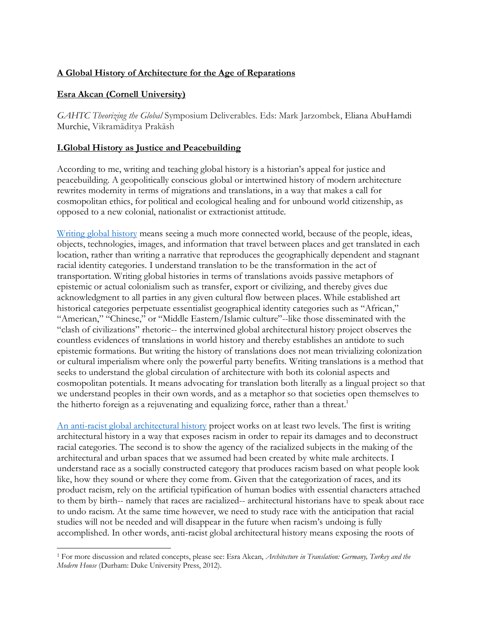# **A Global History of Architecture for the Age of Reparations**

# **Esra Akcan (Cornell University)**

*GAHTC Theorizing the Global* Symposium Deliverables. Eds: Mark Jarzombek, Eliana AbuHamdi Murchie, Vikramāditya Prakāsh

# **I.Global History as Justice and Peacebuilding**

According to me, writing and teaching global history is a historian's appeal for justice and peacebuilding. A geopolitically conscious global or intertwined history of modern architecture rewrites modernity in terms of migrations and translations, in a way that makes a call for cosmopolitan ethics, for political and ecological healing and for unbound world citizenship, as opposed to a new colonial, nationalist or extractionist attitude.

[Writing global history](https://www.youtube.com/watch?v=D_GWTMZfWT4) means seeing a much more connected world, because of the people, ideas, objects, technologies, images, and information that travel between places and get translated in each location, rather than writing a narrative that reproduces the geographically dependent and stagnant racial identity categories. I understand translation to be the transformation in the act of transportation. Writing global histories in terms of translations avoids passive metaphors of epistemic or actual colonialism such as transfer, export or civilizing, and thereby gives due acknowledgment to all parties in any given cultural flow between places. While established art historical categories perpetuate essentialist geographical identity categories such as "African," "American," "Chinese," or "Middle Eastern/Islamic culture"--like those disseminated with the "clash of civilizations" rhetoric-- the intertwined global architectural history project observes the countless evidences of translations in world history and thereby establishes an antidote to such epistemic formations. But writing the history of translations does not mean trivializing colonization or cultural imperialism where only the powerful party benefits. Writing translations is a method that seeks to understand the global circulation of architecture with both its colonial aspects and cosmopolitan potentials. It means advocating for translation both literally as a lingual project so that we understand peoples in their own words, and as a metaphor so that societies open themselves to the hitherto foreign as a rejuvenating and equalizing force, rather than a threat.<sup>1</sup>

[An anti-racist global architectural history](https://www.academia.edu/video/lnO2Lk) project works on at least two levels. The first is writing architectural history in a way that exposes racism in order to repair its damages and to deconstruct racial categories. The second is to show the agency of the racialized subjects in the making of the architectural and urban spaces that we assumed had been created by white male architects. I understand race as a socially constructed category that produces racism based on what people look like, how they sound or where they come from. Given that the categorization of races, and its product racism, rely on the artificial typification of human bodies with essential characters attached to them by birth-- namely that races are racialized-- architectural historians have to speak about race to undo racism. At the same time however, we need to study race with the anticipation that racial studies will not be needed and will disappear in the future when racism's undoing is fully accomplished. In other words, anti-racist global architectural history means exposing the roots of

<sup>1</sup> For more discussion and related concepts, please see: Esra Akcan, *Architecture in Translation: Germany, Turkey and the Modern House* (Durham: Duke University Press, 2012).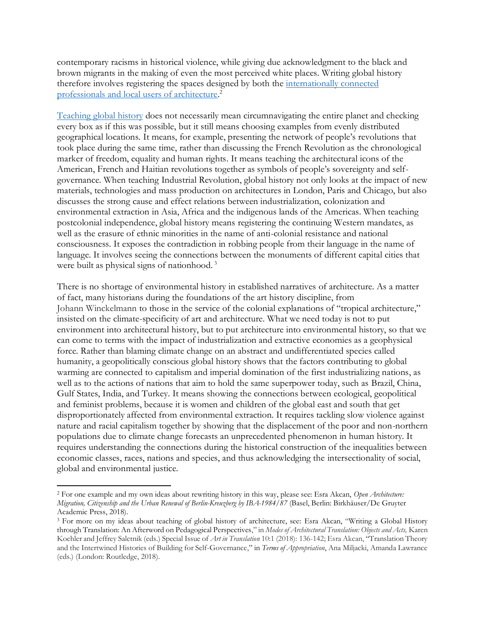contemporary racisms in historical violence, while giving due acknowledgment to the black and brown migrants in the making of even the most perceived white places. Writing global history therefore involves registering the spaces designed by both the [internationally connected](https://www.youtube.com/watch?v=G1Vq-KSAXEo)  [professionals and local users of architecture.](https://www.youtube.com/watch?v=G1Vq-KSAXEo) 2

[Teaching global history](https://youtu.be/S5ZIjOgAUgI) does not necessarily mean circumnavigating the entire planet and checking every box as if this was possible, but it still means choosing examples from evenly distributed geographical locations. It means, for example, presenting the network of people's revolutions that took place during the same time, rather than discussing the French Revolution as the chronological marker of freedom, equality and human rights. It means teaching the architectural icons of the American, French and Haitian revolutions together as symbols of people's sovereignty and selfgovernance. When teaching Industrial Revolution, global history not only looks at the impact of new materials, technologies and mass production on architectures in London, Paris and Chicago, but also discusses the strong cause and effect relations between industrialization, colonization and environmental extraction in Asia, Africa and the indigenous lands of the Americas. When teaching postcolonial independence, global history means registering the continuing Western mandates, as well as the erasure of ethnic minorities in the name of anti-colonial resistance and national consciousness. It exposes the contradiction in robbing people from their language in the name of language. It involves seeing the connections between the monuments of different capital cities that were built as physical signs of nationhood.<sup>3</sup>

There is no shortage of environmental history in established narratives of architecture. As a matter of fact, many historians during the foundations of the art history discipline, from Johann Winckelmann to those in the service of the colonial explanations of "tropical architecture," insisted on the climate-specificity of art and architecture. What we need today is not to put environment into architectural history, but to put architecture into environmental history, so that we can come to terms with the impact of industrialization and extractive economies as a geophysical force. Rather than blaming climate change on an abstract and undifferentiated species called humanity, a geopolitically conscious global history shows that the factors contributing to global warming are connected to capitalism and imperial domination of the first industrializing nations, as well as to the actions of nations that aim to hold the same superpower today, such as Brazil, China, Gulf States, India, and Turkey. It means showing the connections between ecological, geopolitical and feminist problems, because it is women and children of the global east and south that get disproportionately affected from environmental extraction. It requires tackling slow violence against nature and racial capitalism together by showing that the displacement of the poor and non-northern populations due to climate change forecasts an unprecedented phenomenon in human history. It requires understanding the connections during the historical construction of the inequalities between economic classes, races, nations and species, and thus acknowledging the intersectionality of social, global and environmental justice.

<sup>2</sup> For one example and my own ideas about rewriting history in this way, please see: Esra Akcan, *Open Architecture: Migration, Citizenship and the Urban Renewal of Berlin-Kreuzberg by IBA-1984/87* (Basel, Berlin: Birkhäuser/De Gruyter Academic Press, 2018).

<sup>3</sup> For more on my ideas about teaching of global history of architecture, see: Esra Akcan, "Writing a Global History through Translation: An Afterword on Pedagogical Perspectives," in *Modes of Architectural Translation: Objects and Acts,* Karen Koehler and Jeffrey Saletnik (eds.) Special Issue of *Art in Translation* 10:1 (2018): 136-142; Esra Akcan, "Translation Theory and the Intertwined Histories of Building for Self-Governance," in *Terms of Appropriation*, Ana Miljacki, Amanda Lawrance (eds.) (London: Routledge, 2018).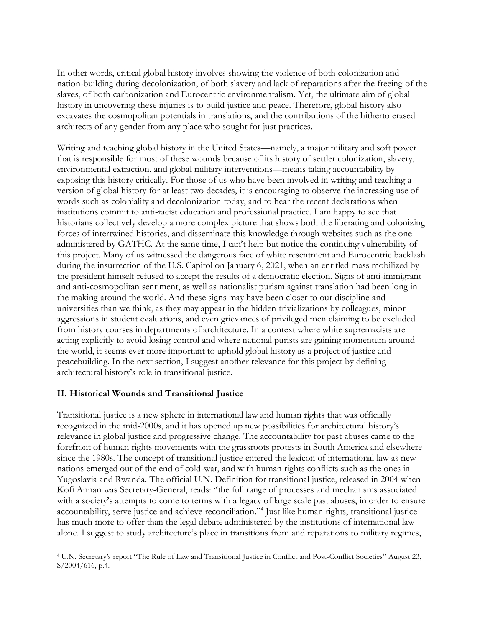In other words, critical global history involves showing the violence of both colonization and nation-building during decolonization, of both slavery and lack of reparations after the freeing of the slaves, of both carbonization and Eurocentric environmentalism. Yet, the ultimate aim of global history in uncovering these injuries is to build justice and peace. Therefore, global history also excavates the cosmopolitan potentials in translations, and the contributions of the hitherto erased architects of any gender from any place who sought for just practices.

Writing and teaching global history in the United States—namely, a major military and soft power that is responsible for most of these wounds because of its history of settler colonization, slavery, environmental extraction, and global military interventions—means taking accountability by exposing this history critically. For those of us who have been involved in writing and teaching a version of global history for at least two decades, it is encouraging to observe the increasing use of words such as coloniality and decolonization today, and to hear the recent declarations when institutions commit to anti-racist education and professional practice. I am happy to see that historians collectively develop a more complex picture that shows both the liberating and colonizing forces of intertwined histories, and disseminate this knowledge through websites such as the one administered by GATHC. At the same time, I can't help but notice the continuing vulnerability of this project. Many of us witnessed the dangerous face of white resentment and Eurocentric backlash during the insurrection of the U.S. Capitol on January 6, 2021, when an entitled mass mobilized by the president himself refused to accept the results of a democratic election. Signs of anti-immigrant and anti-cosmopolitan sentiment, as well as nationalist purism against translation had been long in the making around the world. And these signs may have been closer to our discipline and universities than we think, as they may appear in the hidden trivializations by colleagues, minor aggressions in student evaluations, and even grievances of privileged men claiming to be excluded from history courses in departments of architecture. In a context where white supremacists are acting explicitly to avoid losing control and where national purists are gaining momentum around the world, it seems ever more important to uphold global history as a project of justice and peacebuilding. In the next section, I suggest another relevance for this project by defining architectural history's role in transitional justice.

# **II. Historical Wounds and Transitional Justice**

Transitional justice is a new sphere in international law and human rights that was officially recognized in the mid-2000s, and it has opened up new possibilities for architectural history's relevance in global justice and progressive change. The accountability for past abuses came to the forefront of human rights movements with the grassroots protests in South America and elsewhere since the 1980s. The concept of transitional justice entered the lexicon of international law as new nations emerged out of the end of cold-war, and with human rights conflicts such as the ones in Yugoslavia and Rwanda. The official U.N. Definition for transitional justice, released in 2004 when Kofi Annan was Secretary-General, reads: "the full range of processes and mechanisms associated with a society's attempts to come to terms with a legacy of large scale past abuses, in order to ensure accountability, serve justice and achieve reconciliation."<sup>4</sup> Just like human rights, transitional justice has much more to offer than the legal debate administered by the institutions of international law alone. I suggest to study architecture's place in transitions from and reparations to military regimes,

<sup>4</sup> U.N. Secretary's report "The Rule of Law and Transitional Justice in Conflict and Post-Conflict Societies" August 23, S/2004/616, p.4.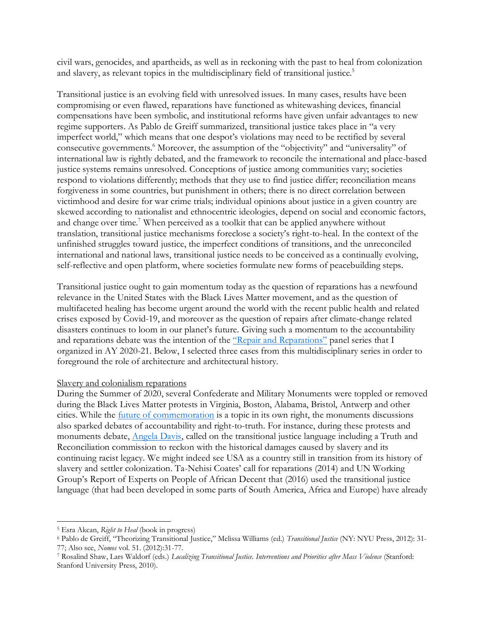civil wars, genocides, and apartheids, as well as in reckoning with the past to heal from colonization and slavery, as relevant topics in the multidisciplinary field of transitional justice.<sup>5</sup>

Transitional justice is an evolving field with unresolved issues. In many cases, results have been compromising or even flawed, reparations have functioned as whitewashing devices, financial compensations have been symbolic, and institutional reforms have given unfair advantages to new regime supporters. As Pablo de Greiff summarized, transitional justice takes place in "a very imperfect world," which means that one despot's violations may need to be rectified by several consecutive governments.<sup>6</sup> Moreover, the assumption of the "objectivity" and "universality" of international law is rightly debated, and the framework to reconcile the international and place-based justice systems remains unresolved. Conceptions of justice among communities vary; societies respond to violations differently; methods that they use to find justice differ; reconciliation means forgiveness in some countries, but punishment in others; there is no direct correlation between victimhood and desire for war crime trials; individual opinions about justice in a given country are skewed according to nationalist and ethnocentric ideologies, depend on social and economic factors, and change over time.<sup>7</sup> When perceived as a toolkit that can be applied anywhere without translation, transitional justice mechanisms foreclose a society's right-to-heal. In the context of the unfinished struggles toward justice, the imperfect conditions of transitions, and the unreconciled international and national laws, transitional justice needs to be conceived as a continually evolving, self-reflective and open platform, where societies formulate new forms of peacebuilding steps.

Transitional justice ought to gain momentum today as the question of reparations has a newfound relevance in the United States with the Black Lives Matter movement, and as the question of multifaceted healing has become urgent around the world with the recent public health and related crises exposed by Covid-19, and moreover as the question of repairs after climate-change related disasters continues to loom in our planet's future. Giving such a momentum to the accountability and reparations debate was the intention of the ["Repair and Reparations"](https://einaudi.cornell.edu/programs/institute-european-studies/events/ies-migrations-series) panel series that I organized in AY 2020-21. Below, I selected three cases from this multidisciplinary series in order to foreground the role of architecture and architectural history.

#### Slavery and colonialism reparations

During the Summer of 2020, several Confederate and Military Monuments were toppled or removed during the Black Lives Matter protests in Virginia, Boston, Alabama, Bristol, Antwerp and other cities. While the [future of commemoration](https://www.youtube.com/watch?v=1tCU3gzdvaI) is a topic in its own right, the monuments discussions also sparked debates of accountability and right-to-truth. For instance, during these protests and monuments debate, [Angela Davis,](https://www.youtube.com/watch?v=pD3wlRJWCxc) called on the transitional justice language including a Truth and Reconciliation commission to reckon with the historical damages caused by slavery and its continuing racist legacy. We might indeed see USA as a country still in transition from its history of slavery and settler colonization. Ta-Nehisi Coates' call for reparations (2014) and UN Working Group's Report of Experts on People of African Decent that (2016) used the transitional justice language (that had been developed in some parts of South America, Africa and Europe) have already

<sup>5</sup> Esra Akcan, *Right to Heal* (book in progress)

<sup>6</sup> Pablo de Greiff, "Theorizing Transitional Justice," Melissa Williams (ed.) *Transitional Justice* (NY: NYU Press, 2012): 31- 77; Also see, *Nomos* vol. 51. (2012):31-77.

<sup>7</sup> Rosalind Shaw, Lars Waldorf (eds.) *Localizing Transitional Justice. Interventions and Priorities after Mass Violence* (Stanford: Stanford University Press, 2010).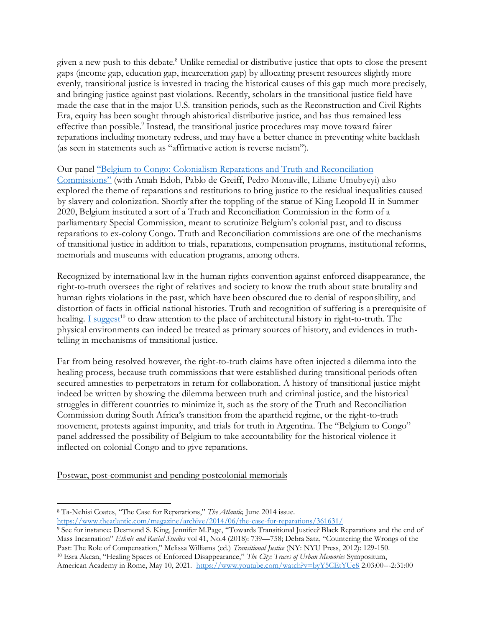given a new push to this debate.<sup>8</sup> Unlike remedial or distributive justice that opts to close the present gaps (income gap, education gap, incarceration gap) by allocating present resources slightly more evenly, transitional justice is invested in tracing the historical causes of this gap much more precisely, and bringing justice against past violations. Recently, scholars in the transitional justice field have made the case that in the major U.S. transition periods, such as the Reconstruction and Civil Rights Era, equity has been sought through ahistorical distributive justice, and has thus remained less effective than possible.<sup>9</sup> Instead, the transitional justice procedures may move toward fairer reparations including monetary redress, and may have a better chance in preventing white backlash (as seen in statements such as "affirmative action is reverse racism").

### Our panel "Belgium to Congo: [Colonialism Reparations and Truth](https://www.youtube.com/watch?v=PtGaN2A_tC4) and Reconciliation

[Commissions](https://www.youtube.com/watch?v=PtGaN2A_tC4)" (with Amah Edoh, Pablo de Greiff, Pedro Monaville, Liliane Umubyeyi) also explored the theme of reparations and restitutions to bring justice to the residual inequalities caused by slavery and colonization. Shortly after the toppling of the statue of King Leopold II in Summer 2020, Belgium instituted a sort of a Truth and Reconciliation Commission in the form of a parliamentary Special Commission, meant to scrutinize Belgium's colonial past, and to discuss reparations to ex-colony Congo. Truth and Reconciliation commissions are one of the mechanisms of transitional justice in addition to trials, reparations, compensation programs, institutional reforms, memorials and museums with education programs, among others.

Recognized by international law in the human rights convention against enforced disappearance, the right-to-truth oversees the right of relatives and society to know the truth about state brutality and human rights violations in the past, which have been obscured due to denial of responsibility, and distortion of facts in official national histories. Truth and recognition of suffering is a prerequisite of healing. [I suggest](https://www.youtube.com/watch?v=byY5CEtYUe8)<sup>10</sup> to draw attention to the place of architectural history in right-to-truth. The physical environments can indeed be treated as primary sources of history, and evidences in truthtelling in mechanisms of transitional justice.

Far from being resolved however, the right-to-truth claims have often injected a dilemma into the healing process, because truth commissions that were established during transitional periods often secured amnesties to perpetrators in return for collaboration. A history of transitional justice might indeed be written by showing the dilemma between truth and criminal justice, and the historical struggles in different countries to minimize it, such as the story of the Truth and Reconciliation Commission during South Africa's transition from the apartheid regime, or the right-to-truth movement, protests against impunity, and trials for truth in Argentina. The "Belgium to Congo" panel addressed the possibility of Belgium to take accountability for the historical violence it inflected on colonial Congo and to give reparations.

Postwar, post-communist and pending postcolonial memorials

<sup>8</sup> Ta-Nehisi Coates, "The Case for Reparations," *The Atlantic,* June 2014 issue.

<https://www.theatlantic.com/magazine/archive/2014/06/the-case-for-reparations/361631/>

<sup>9</sup> See for instance: Desmond S. King, Jennifer M.Page, "Towards Transitional Justice? Black Reparations and the end of Mass Incarnation" *Ethnic and Racial Studies* vol 41, No.4 (2018): 739—758; Debra Satz, "Countering the Wrongs of the Past: The Role of Compensation," Melissa Williams (ed.) *Transitional Justice* (NY: NYU Press, 2012): 129-150. <sup>10</sup> Esra Akcan, "Healing Spaces of Enforced Disappearance," *The City: Traces of Urban Memories* Sympositum, American Academy in Rome, May 10, 2021.<https://www.youtube.com/watch?v=byY5CEtYUe8> 2:03:00---2:31:00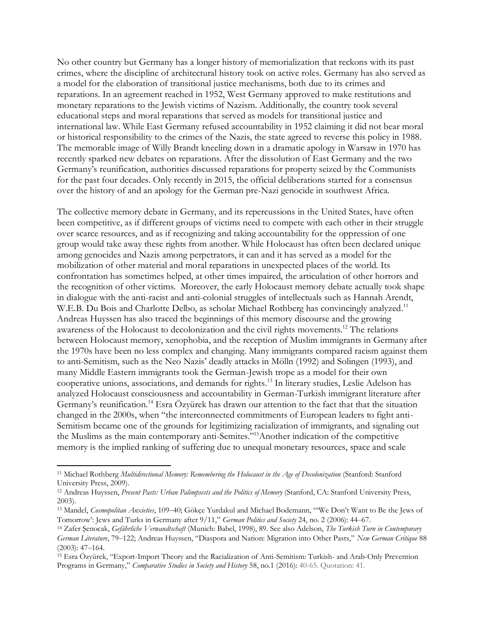No other country but Germany has a longer history of memorialization that reckons with its past crimes, where the discipline of architectural history took on active roles. Germany has also served as a model for the elaboration of transitional justice mechanisms, both due to its crimes and reparations. In an agreement reached in 1952, West Germany approved to make restitutions and monetary reparations to the Jewish victims of Nazism. Additionally, the country took several educational steps and moral reparations that served as models for transitional justice and international law. While East Germany refused accountability in 1952 claiming it did not bear moral or historical responsibility to the crimes of the Nazis, the state agreed to reverse this policy in 1988. The memorable image of Willy Brandt kneeling down in a dramatic apology in Warsaw in 1970 has recently sparked new debates on reparations. After the dissolution of East Germany and the two Germany's reunification, authorities discussed reparations for property seized by the Communists for the past four decades. Only recently in 2015, the official deliberations started for a consensus over the history of and an apology for the German pre-Nazi genocide in southwest Africa.

The collective memory debate in Germany, and its repercussions in the United States, have often been competitive, as if different groups of victims need to compete with each other in their struggle over scarce resources, and as if recognizing and taking accountability for the oppression of one group would take away these rights from another. While Holocaust has often been declared unique among genocides and Nazis among perpetrators, it can and it has served as a model for the mobilization of other material and moral reparations in unexpected places of the world. Its confrontation has sometimes helped, at other times impaired, the articulation of other horrors and the recognition of other victims. Moreover, the early Holocaust memory debate actually took shape in dialogue with the anti-racist and anti-colonial struggles of intellectuals such as Hannah Arendt, W.E.B. Du Bois and Charlotte Delbo, as scholar Michael Rothberg has convincingly analyzed.<sup>11</sup> Andreas Huyssen has also traced the beginnings of this memory discourse and the growing awareness of the Holocaust to decolonization and the civil rights movements.<sup>12</sup> The relations between Holocaust memory, xenophobia, and the reception of Muslim immigrants in Germany after the 1970s have been no less complex and changing. Many immigrants compared racism against them to anti-Semitism, such as the Neo Nazis' deadly attacks in Mölln (1992) and Solingen (1993), and many Middle Eastern immigrants took the German-Jewish trope as a model for their own cooperative unions, associations, and demands for rights.<sup>13</sup> In literary studies, Leslie Adelson has analyzed Holocaust consciousness and accountability in German-Turkish immigrant literature after Germany's reunification.<sup>14</sup> Esra Özyürek has drawn our attention to the fact that that the situation changed in the 2000s, when "the interconnected commitments of European leaders to fight anti-Semitism became one of the grounds for legitimizing racialization of immigrants, and signaling out the Muslims as the main contemporary anti-Semites."<sup>15</sup>Another indication of the competitive memory is the implied ranking of suffering due to unequal monetary resources, space and scale

<sup>&</sup>lt;sup>11</sup> Michael Rothberg *Multidirectional Memory: Remembering the Holocaust in the Age of Decolonization (Stanford: Stanford* University Press, 2009).

<sup>&</sup>lt;sup>12</sup> Andreas Huyssen, *Present Pasts: Urban Palimpsests and the Politics of Memory* (Stanford, CA: Stanford University Press, 2003).

<sup>13</sup> Mandel, *Cosmopolitan Anxieties*, 109‒40; Gökçe Yurdakul and Michael Bodemann, "'We Don't Want to Be the Jews of Tomorrow': Jews and Turks in Germany after 9/11," *German Politics and Society* 24, no. 2 (2006): 44‒67.

<sup>14</sup> Zafer Şenocak, *Gefährliche Verwandtschaft* (Munich: Babel, 1998), 89. See also Adelson, *The Turkish Turn in Contemporary German Literature*, 79‒122; Andreas Huyssen, "Diaspora and Nation: Migration into Other Pasts," *New German Critique* 88  $(2003): 47 - 164.$ 

<sup>15</sup> Esra Özyürek, "Export-Import Theory and the Racialization of Anti-Semitism: Turkish- and Arab-Only Prevention Programs in Germany," *Comparative Studies in Society and History* 58, no.1 (2016): 40-65. Quotation: 41.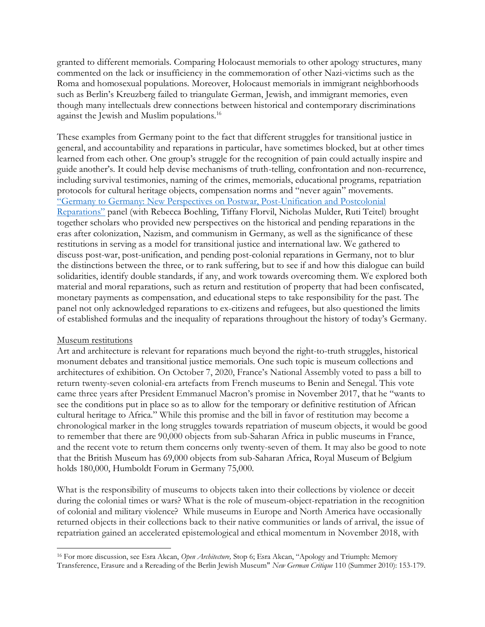granted to different memorials. Comparing Holocaust memorials to other apology structures, many commented on the lack or insufficiency in the commemoration of other Nazi-victims such as the Roma and homosexual populations. Moreover, Holocaust memorials in immigrant neighborhoods such as Berlin's Kreuzberg failed to triangulate German, Jewish, and immigrant memories, even though many intellectuals drew connections between historical and contemporary discriminations against the Jewish and Muslim populations.<sup>16</sup>

These examples from Germany point to the fact that different struggles for transitional justice in general, and accountability and reparations in particular, have sometimes blocked, but at other times learned from each other. One group's struggle for the recognition of pain could actually inspire and guide another's. It could help devise mechanisms of truth-telling, confrontation and non-recurrence, including survival testimonies, naming of the crimes, memorials, educational programs, repatriation protocols for cultural heritage objects, compensation norms and "never again" movements. "Germany to Germany: [New Perspectives on Postwar, Post-Unification and Postcolonial](https://www.youtube.com/watch?v=IlT5e6q4M1M)  [Reparations"](https://www.youtube.com/watch?v=IlT5e6q4M1M) panel (with Rebecca Boehling, Tiffany Florvil, Nicholas Mulder, Ruti Teitel) brought together scholars who provided new perspectives on the historical and pending reparations in the eras after colonization, Nazism, and communism in Germany, as well as the significance of these restitutions in serving as a model for transitional justice and international law. We gathered to discuss post-war, post-unification, and pending post-colonial reparations in Germany, not to blur the distinctions between the three, or to rank suffering, but to see if and how this dialogue can build solidarities, identify double standards, if any, and work towards overcoming them. We explored both material and moral reparations, such as return and restitution of property that had been confiscated, monetary payments as compensation, and educational steps to take responsibility for the past. The panel not only acknowledged reparations to ex-citizens and refugees, but also questioned the limits of established formulas and the inequality of reparations throughout the history of today's Germany.

#### Museum restitutions

Art and architecture is relevant for reparations much beyond the right-to-truth struggles, historical monument debates and transitional justice memorials. One such topic is museum collections and architectures of exhibition. On October 7, 2020, France's National Assembly voted to pass a bill to return twenty-seven colonial-era artefacts from French museums to Benin and Senegal. This vote came three years after President Emmanuel Macron's promise in November 2017, that he "wants to see the conditions put in place so as to allow for the temporary or definitive restitution of African cultural heritage to Africa." While this promise and the bill in favor of restitution may become a chronological marker in the long struggles towards repatriation of museum objects, it would be good to remember that there are 90,000 objects from sub-Saharan Africa in public museums in France, and the recent vote to return them concerns only twenty-seven of them. It may also be good to note that the British Museum has 69,000 objects from sub-Saharan Africa, Royal Museum of Belgium holds 180,000, Humboldt Forum in Germany 75,000.

What is the responsibility of museums to objects taken into their collections by violence or deceit during the colonial times or wars? What is the role of museum-object-repatriation in the recognition of colonial and military violence? While museums in Europe and North America have occasionally returned objects in their collections back to their native communities or lands of arrival, the issue of repatriation gained an accelerated epistemological and ethical momentum in November 2018, with

<sup>16</sup> For more discussion, see Esra Akcan, *Open Architecture,* Stop 6; Esra Akcan, "Apology and Triumph: Memory Transference, Erasure and a Rereading of the Berlin Jewish Museum" *New German Critique* 110 (Summer 2010): 153-179.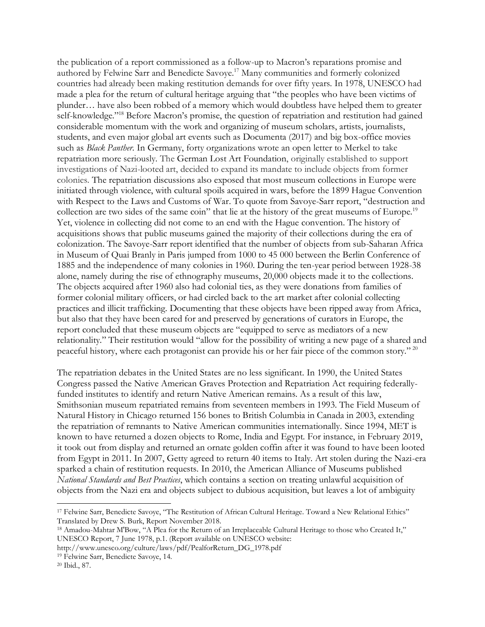the publication of a report commissioned as a follow-up to Macron's reparations promise and authored by Felwine Sarr and Benedicte Savoye. <sup>17</sup> Many communities and formerly colonized countries had already been making restitution demands for over fifty years. In 1978, UNESCO had made a plea for the return of cultural heritage arguing that "the peoples who have been victims of plunder… have also been robbed of a memory which would doubtless have helped them to greater self-knowledge."<sup>18</sup> Before Macron's promise, the question of repatriation and restitution had gained considerable momentum with the work and organizing of museum scholars, artists, journalists, students, and even major global art events such as Documenta (2017) and big box-office movies such as *Black Panther*. In Germany, forty organizations wrote an open letter to Merkel to take repatriation more seriously. The German Lost Art Foundation, originally established to support investigations of Nazi-looted art, decided to expand its mandate to include objects from former colonies. The repatriation discussions also exposed that most museum collections in Europe were initiated through violence, with cultural spoils acquired in wars, before the 1899 Hague Convention with Respect to the Laws and Customs of War. To quote from Savoye-Sarr report, "destruction and collection are two sides of the same coin" that lie at the history of the great museums of Europe.<sup>19</sup> Yet, violence in collecting did not come to an end with the Hague convention. The history of acquisitions shows that public museums gained the majority of their collections during the era of colonization. The Savoye-Sarr report identified that the number of objects from sub-Saharan Africa in Museum of Quai Branly in Paris jumped from 1000 to 45 000 between the Berlin Conference of 1885 and the independence of many colonies in 1960. During the ten-year period between 1928-38 alone, namely during the rise of ethnography museums, 20,000 objects made it to the collections. The objects acquired after 1960 also had colonial ties, as they were donations from families of former colonial military officers, or had circled back to the art market after colonial collecting practices and illicit trafficking. Documenting that these objects have been ripped away from Africa, but also that they have been cared for and preserved by generations of curators in Europe, the report concluded that these museum objects are "equipped to serve as mediators of a new relationality." Their restitution would "allow for the possibility of writing a new page of a shared and peaceful history, where each protagonist can provide his or her fair piece of the common story." <sup>20</sup>

The repatriation debates in the United States are no less significant. In 1990, the United States Congress passed the Native American Graves Protection and Repatriation Act requiring federallyfunded institutes to identify and return Native American remains. As a result of this law, Smithsonian museum repatriated remains from seventeen members in 1993. The Field Museum of Natural History in Chicago returned 156 bones to British Columbia in Canada in 2003, extending the repatriation of remnants to Native American communities internationally. Since 1994, MET is known to have returned a dozen objects to Rome, India and Egypt. For instance, in February 2019, it took out from display and returned an ornate golden coffin after it was found to have been looted from Egypt in 2011. In 2007, Getty agreed to return 40 items to Italy. Art stolen during the Nazi-era sparked a chain of restitution requests. In 2010, the American Alliance of Museums published *National Standards and Best Practices*, which contains a section on treating unlawful acquisition of objects from the Nazi era and objects subject to dubious acquisition, but leaves a lot of ambiguity

- http://www.unesco.org/culture/laws/pdf/PealforReturn\_DG\_1978.pdf
- <sup>19</sup> Felwine Sarr, Benedicte Savoye, 14.

<sup>17</sup> Felwine Sarr, Benedicte Savoye, "The Restitution of African Cultural Heritage. Toward a New Relational Ethics" Translated by Drew S. Burk, Report November 2018.

<sup>18</sup> Amadou-Mahtar M'Bow, "A Plea for the Return of an Irreplaceable Cultural Heritage to those who Created It," UNESCO Report, 7 June 1978, p.1. (Report available on UNESCO website:

<sup>20</sup> Ibid., 87.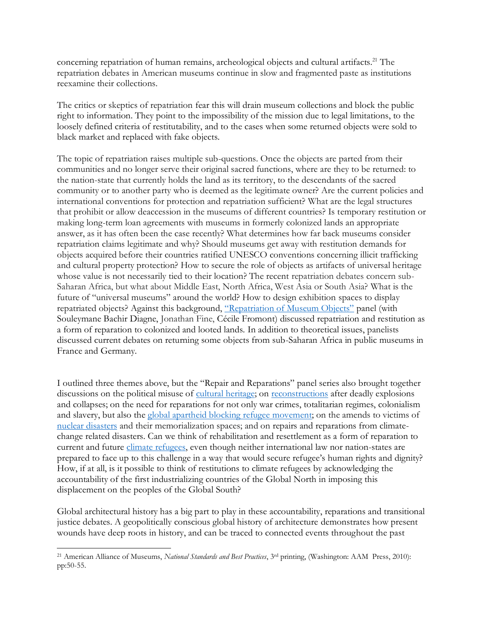concerning repatriation of human remains, archeological objects and cultural artifacts.<sup>21</sup> The repatriation debates in American museums continue in slow and fragmented paste as institutions reexamine their collections.

The critics or skeptics of repatriation fear this will drain museum collections and block the public right to information. They point to the impossibility of the mission due to legal limitations, to the loosely defined criteria of restitutability, and to the cases when some returned objects were sold to black market and replaced with fake objects.

The topic of repatriation raises multiple sub-questions. Once the objects are parted from their communities and no longer serve their original sacred functions, where are they to be returned: to the nation-state that currently holds the land as its territory, to the descendants of the sacred community or to another party who is deemed as the legitimate owner? Are the current policies and international conventions for protection and repatriation sufficient? What are the legal structures that prohibit or allow deaccession in the museums of different countries? Is temporary restitution or making long-term loan agreements with museums in formerly colonized lands an appropriate answer, as it has often been the case recently? What determines how far back museums consider repatriation claims legitimate and why? Should museums get away with restitution demands for objects acquired before their countries ratified UNESCO conventions concerning illicit trafficking and cultural property protection? How to secure the role of objects as artifacts of universal heritage whose value is not necessarily tied to their location? The recent repatriation debates concern sub-Saharan Africa, but what about Middle East, North Africa, West Asia or South Asia? What is the future of "universal museums" around the world? How to design exhibition spaces to display repatriated objects? Against this background, ["Repatriation of Museum Objects"](https://www.youtube.com/watch?v=9V7H4J30nig) panel (with Souleymane Bachir Diagne, Jonathan Fine, Cécile Fromont) discussed repatriation and restitution as a form of reparation to colonized and looted lands. In addition to theoretical issues, panelists discussed current debates on returning some objects from sub-Saharan Africa in public museums in France and Germany.

I outlined three themes above, but the "Repair and Reparations" panel series also brought together discussions on the political misuse of [cultural heritage;](https://www.youtube.com/watch?v=79DACHU4X78) on [reconstructions](Beirut%20Reconstructions) after deadly explosions and collapses; on the need for reparations for not only war crimes, totalitarian regimes, colonialism and slavery, but also the [global apartheid blocking](https://www.youtube.com/watch?v=viIf_-43sA8) refugee movement; on the amends to victims of [nuclear disasters](https://www.youtube.com/watch?v=kw-Okq-XMOI) and their memorialization spaces; and on repairs and reparations from climatechange related disasters. Can we think of rehabilitation and resettlement as a form of reparation to current and future [climate refugees,](https://www.youtube.com/watch?v=96KAQHK-ztc) even though neither international law nor nation-states are prepared to face up to this challenge in a way that would secure refugee's human rights and dignity? How, if at all, is it possible to think of restitutions to climate refugees by acknowledging the accountability of the first industrializing countries of the Global North in imposing this displacement on the peoples of the Global South?

Global architectural history has a big part to play in these accountability, reparations and transitional justice debates. A geopolitically conscious global history of architecture demonstrates how present wounds have deep roots in history, and can be traced to connected events throughout the past

<sup>21</sup> American Alliance of Museums, *National Standards and Best Practices*, 3rd printing, (Washington: AAM Press, 2010): pp:50-55.